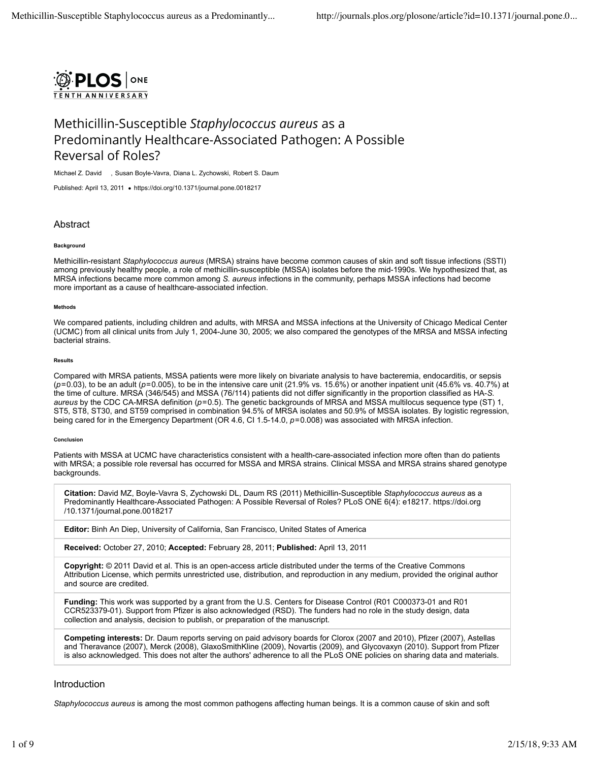

# Methicillin-Susceptible *Staphylococcus aureus* as a Predominantly Healthcare-Associated Pathogen: A Possible Reversal of Roles?

Michael Z. David , Susan Boyle-Vavra, Diana L. Zychowski, Robert S. Daum

Published: April 13, 2011 . https://doi.org/10.1371/journal.pone.0018217

# Abstract

#### **Background**

Methicillin-resistant *Staphylococcus aureus* (MRSA) strains have become common causes of skin and soft tissue infections (SSTI) among previously healthy people, a role of methicillin-susceptible (MSSA) isolates before the mid-1990s. We hypothesized that, as MRSA infections became more common among *S. aureus* infections in the community, perhaps MSSA infections had become more important as a cause of healthcare-associated infection.

#### **Methods**

We compared patients, including children and adults, with MRSA and MSSA infections at the University of Chicago Medical Center (UCMC) from all clinical units from July 1, 2004-June 30, 2005; we also compared the genotypes of the MRSA and MSSA infecting bacterial strains.

#### **Results**

Compared with MRSA patients, MSSA patients were more likely on bivariate analysis to have bacteremia, endocarditis, or sepsis (*p*=0.03), to be an adult (*p*=0.005), to be in the intensive care unit (21.9% vs. 15.6%) or another inpatient unit (45.6% vs. 40.7%) at the time of culture. MRSA (346/545) and MSSA (76/114) patients did not differ significantly in the proportion classified as HA-*S. aureus* by the CDC CA-MRSA definition (*p*=0.5). The genetic backgrounds of MRSA and MSSA multilocus sequence type (ST) 1, ST5, ST8, ST30, and ST59 comprised in combination 94.5% of MRSA isolates and 50.9% of MSSA isolates. By logistic regression, being cared for in the Emergency Department (OR 4.6, CI 1.5-14.0,  $p=0.008$ ) was associated with MRSA infection.

#### **Conclusion**

Patients with MSSA at UCMC have characteristics consistent with a health-care-associated infection more often than do patients with MRSA; a possible role reversal has occurred for MSSA and MRSA strains. Clinical MSSA and MRSA strains shared genotype backgrounds.

**Citation:** David MZ, Boyle-Vavra S, Zychowski DL, Daum RS (2011) Methicillin-Susceptible *Staphylococcus aureus* as a Predominantly Healthcare-Associated Pathogen: A Possible Reversal of Roles? PLoS ONE 6(4): e18217. https://doi.org /10.1371/journal.pone.0018217

**Editor:** Binh An Diep, University of California, San Francisco, United States of America

**Received:** October 27, 2010; **Accepted:** February 28, 2011; **Published:** April 13, 2011

**Copyright:** © 2011 David et al. This is an open-access article distributed under the terms of the Creative Commons Attribution License, which permits unrestricted use, distribution, and reproduction in any medium, provided the original author and source are credited.

**Funding:** This work was supported by a grant from the U.S. Centers for Disease Control (R01 C000373-01 and R01 CCR523379-01). Support from Pfizer is also acknowledged (RSD). The funders had no role in the study design, data collection and analysis, decision to publish, or preparation of the manuscript.

**Competing interests:** Dr. Daum reports serving on paid advisory boards for Clorox (2007 and 2010), Pfizer (2007), Astellas and Theravance (2007), Merck (2008), GlaxoSmithKline (2009), Novartis (2009), and Glycovaxyn (2010). Support from Pfizer is also acknowledged. This does not alter the authors' adherence to all the PLoS ONE policies on sharing data and materials.

## Introduction

*Staphylococcus aureus* is among the most common pathogens affecting human beings. It is a common cause of skin and soft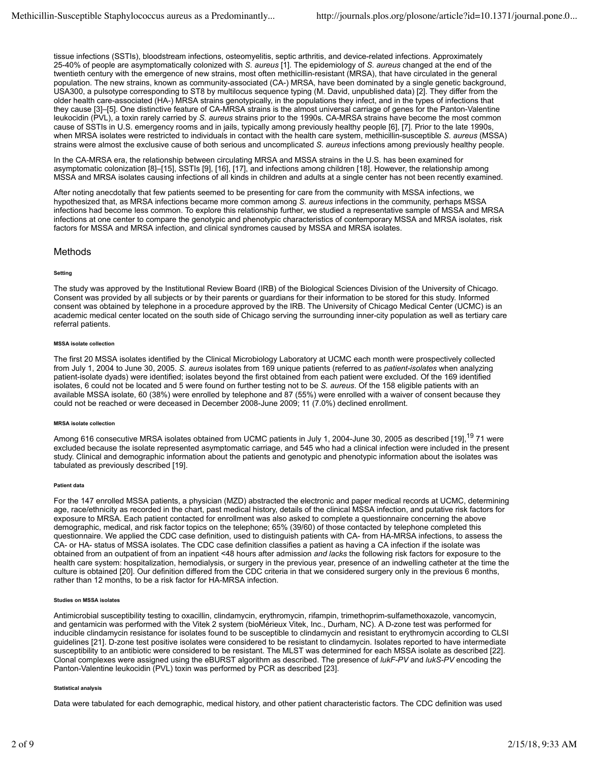tissue infections (SSTIs), bloodstream infections, osteomyelitis, septic arthritis, and device-related infections. Approximately 25-40% of people are asymptomatically colonized with *S. aureus* [1]. The epidemiology of *S. aureus* changed at the end of the twentieth century with the emergence of new strains, most often methicillin-resistant (MRSA), that have circulated in the general population. The new strains, known as community-associated (CA-) MRSA, have been dominated by a single genetic background, USA300, a pulsotype corresponding to ST8 by multilocus sequence typing (M. David, unpublished data) [2]. They differ from the older health care-associated (HA-) MRSA strains genotypically, in the populations they infect, and in the types of infections that they cause [3]–[5]. One distinctive feature of CA-MRSA strains is the almost universal carriage of genes for the Panton-Valentine leukocidin (PVL), a toxin rarely carried by *S. aureus* strains prior to the 1990s. CA-MRSA strains have become the most common cause of SSTIs in U.S. emergency rooms and in jails, typically among previously healthy people [6], [7]. Prior to the late 1990s, when MRSA isolates were restricted to individuals in contact with the health care system, methicillin-susceptible *S. aureus* (MSSA) strains were almost the exclusive cause of both serious and uncomplicated *S. aureus* infections among previously healthy people.

In the CA-MRSA era, the relationship between circulating MRSA and MSSA strains in the U.S. has been examined for asymptomatic colonization [8]–[15], SSTIs [9], [16], [17], and infections among children [18]. However, the relationship among MSSA and MRSA isolates causing infections of all kinds in children and adults at a single center has not been recently examined.

After noting anecdotally that few patients seemed to be presenting for care from the community with MSSA infections, we hypothesized that, as MRSA infections became more common among *S. aureus* infections in the community, perhaps MSSA infections had become less common. To explore this relationship further, we studied a representative sample of MSSA and MRSA infections at one center to compare the genotypic and phenotypic characteristics of contemporary MSSA and MRSA isolates, risk factors for MSSA and MRSA infection, and clinical syndromes caused by MSSA and MRSA isolates.

## Methods

#### **Setting**

The study was approved by the Institutional Review Board (IRB) of the Biological Sciences Division of the University of Chicago. Consent was provided by all subjects or by their parents or guardians for their information to be stored for this study. Informed consent was obtained by telephone in a procedure approved by the IRB. The University of Chicago Medical Center (UCMC) is an academic medical center located on the south side of Chicago serving the surrounding inner-city population as well as tertiary care referral patients.

#### **MSSA isolate collection**

The first 20 MSSA isolates identified by the Clinical Microbiology Laboratory at UCMC each month were prospectively collected from July 1, 2004 to June 30, 2005. *S. aureus* isolates from 169 unique patients (referred to as *patient-isolates* when analyzing patient-isolate dyads) were identified; isolates beyond the first obtained from each patient were excluded. Of the 169 identified isolates, 6 could not be located and 5 were found on further testing not to be *S. aureus*. Of the 158 eligible patients with an available MSSA isolate, 60 (38%) were enrolled by telephone and 87 (55%) were enrolled with a waiver of consent because they could not be reached or were deceased in December 2008-June 2009; 11 (7.0%) declined enrollment.

#### **MRSA isolate collection**

Among 616 consecutive MRSA isolates obtained from UCMC patients in July 1, 2004-June 30, 2005 as described [19],<sup>19</sup> 71 were excluded because the isolate represented asymptomatic carriage, and 545 who had a clinical infection were included in the present study. Clinical and demographic information about the patients and genotypic and phenotypic information about the isolates was tabulated as previously described [19].

#### **Patient data**

For the 147 enrolled MSSA patients, a physician (MZD) abstracted the electronic and paper medical records at UCMC, determining age, race/ethnicity as recorded in the chart, past medical history, details of the clinical MSSA infection, and putative risk factors for exposure to MRSA. Each patient contacted for enrollment was also asked to complete a questionnaire concerning the above demographic, medical, and risk factor topics on the telephone; 65% (39/60) of those contacted by telephone completed this questionnaire. We applied the CDC case definition, used to distinguish patients with CA- from HA-MRSA infections, to assess the CA- or HA- status of MSSA isolates. The CDC case definition classifies a patient as having a CA infection if the isolate was obtained from an outpatient of from an inpatient <48 hours after admission *and lacks* the following risk factors for exposure to the health care system: hospitalization, hemodialysis, or surgery in the previous year, presence of an indwelling catheter at the time the culture is obtained [20]. Our definition differed from the CDC criteria in that we considered surgery only in the previous 6 months, rather than 12 months, to be a risk factor for HA-MRSA infection.

#### **Studies on MSSA isolates**

Antimicrobial susceptibility testing to oxacillin, clindamycin, erythromycin, rifampin, trimethoprim-sulfamethoxazole, vancomycin, and gentamicin was performed with the Vitek 2 system (bioMérieux Vitek, Inc., Durham, NC). A D-zone test was performed for inducible clindamycin resistance for isolates found to be susceptible to clindamycin and resistant to erythromycin according to CLSI guidelines [21]. D-zone test positive isolates were considered to be resistant to clindamycin. Isolates reported to have intermediate susceptibility to an antibiotic were considered to be resistant. The MLST was determined for each MSSA isolate as described [22]. Clonal complexes were assigned using the eBURST algorithm as described. The presence of *lukF-PV* and *lukS-PV* encoding the Panton-Valentine leukocidin (PVL) toxin was performed by PCR as described [23].

#### **Statistical analysis**

Data were tabulated for each demographic, medical history, and other patient characteristic factors. The CDC definition was used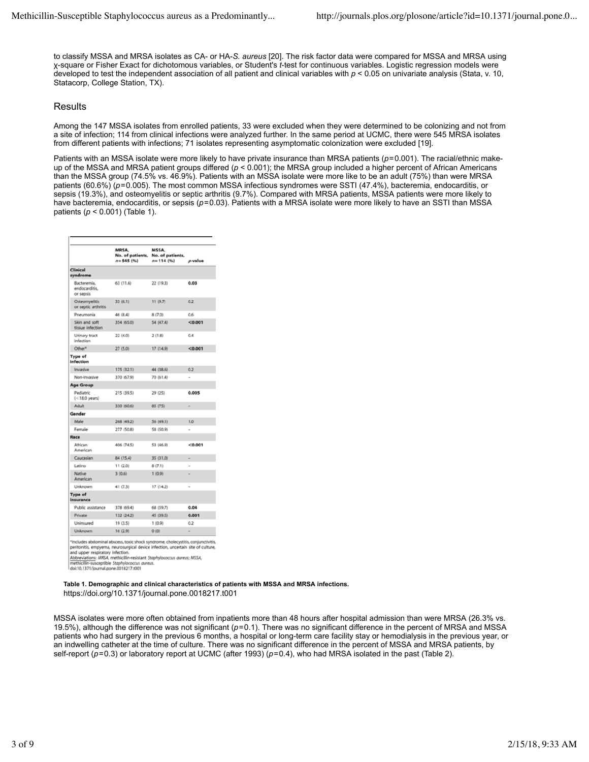to classify MSSA and MRSA isolates as CA- or HA-*S. aureus* [20]. The risk factor data were compared for MSSA and MRSA using χ-square or Fisher Exact for dichotomous variables, or Student's *t*-test for continuous variables. Logistic regression models were developed to test the independent association of all patient and clinical variables with  $p < 0.05$  on univariate analysis (Stata, v. 10, Statacorp, College Station, TX).

# Results

Among the 147 MSSA isolates from enrolled patients, 33 were excluded when they were determined to be colonizing and not from a site of infection; 114 from clinical infections were analyzed further. In the same period at UCMC, there were 545 MRSA isolates from different patients with infections; 71 isolates representing asymptomatic colonization were excluded [19].

Patients with an MSSA isolate were more likely to have private insurance than MRSA patients (*p*=0.001). The racial/ethnic makeup of the MSSA and MRSA patient groups differed (*p* < 0.001); the MRSA group included a higher percent of African Americans than the MSSA group (74.5% vs. 46.9%). Patients with an MSSA isolate were more like to be an adult (75%) than were MRSA patients (60.6%) ( $p$ =0.005). The most common MSSA infectious syndromes were SSTI (47.4%), bacteremia, endocarditis, or sepsis (19.3%), and osteomyelitis or septic arthritis (9.7%). Compared with MRSA patients, MSSA patients were more likely to have bacteremia, endocarditis, or sepsis (*p*=0.03). Patients with a MRSA isolate were more likely to have an SSTI than MSSA patients (*p* < 0.001) (Table 1).

|                                           | MRSA,<br>No. of patients.<br>$n = 545$ (%) | MSSA,<br>No. of patients,<br>$n = 114(96)$ | p-value |
|-------------------------------------------|--------------------------------------------|--------------------------------------------|---------|
| Clinical<br>syndrome                      |                                            |                                            |         |
| Bacteremia,<br>endocarditis.<br>or sepsis | 63(11.6)                                   | 22 (19.3)                                  | 0.03    |
| Osteomyelitis<br>or septic arthritis      | 33(6.1)                                    | 11(9.7)                                    | 0.2     |
| Pneumonia                                 | 46 (8.4)                                   | 8(7,0)                                     | 06      |
| Skin and soft<br>tissue infection         | 354 (65.0)                                 | 54 (47.4)                                  | < 0.001 |
| Urinary tract<br>infection                | 22 (4.0)                                   | 2(1.8)                                     | 0.4     |
| Other <sup>*</sup>                        | 27 (5.0)                                   | 17 (14.9)                                  | < 0.001 |
| Type of<br>Infection                      |                                            |                                            |         |
| Invasive                                  | 175 (32.1)                                 | 44 (38.6)                                  | 0.2     |
| Non-Invasive                              | 370 (67.9)                                 | 70 (61.4)                                  | J.      |
| Age Group                                 |                                            |                                            |         |
| Pediatric<br>$(<$ 18.0 years)             | 215 (39.5)                                 | 29 (25)                                    | 0.005   |
| Adult                                     | 330 (60.6)                                 | 85 (75)                                    | ۰       |
| Gender                                    |                                            |                                            |         |
| Male                                      | 268 (49.2)                                 | 56 (49.1)                                  | 1.0     |
| Female                                    | 277 (50.8)                                 | 58 (50.9)                                  |         |
| Race                                      |                                            |                                            |         |
| African<br>American                       | 406 (74.5)                                 | 53 (46.9)                                  | < 0.001 |
| Caucasian                                 | 84 (15.4)                                  | 35 (31.0)                                  |         |
| Latino                                    | 11(2.0)                                    | 8(7.1)                                     |         |
| Native<br>American                        | 3(0.6)                                     | 1(0.9)                                     |         |
| Unknown                                   | 41 (7.3)                                   | 17 (14.2)                                  |         |
| Type of<br>insurance                      |                                            |                                            |         |
| Public assistance                         | 378 (69.4)                                 | 68 (59.7)                                  | 0.04    |
| Private                                   | 132 (24.2)                                 | 45 (39.5)                                  | 0.001   |
| Uninsured                                 | 19 (3.5)                                   | 1(0.9)                                     | 0.2     |
| Unknown                                   | 16(2.9)                                    | 0(0)                                       |         |

\*Includes abdominal abscess, toxic shock syndrome, cholecystitis, conjunctivitis,<br>peritonitis, empyema, neurosurgical device infection, uncertain site of culture,<br>and upper respiratory infection.

per respiratory intection.<br>dations: MRSA, methicillin-resistant *Stophylococcus dureus; MSSA,*<br>illin-rur-rentible Stephylococcur dureur

nethicillin-susceptible Staphylococcus aureus<br>loi:10.1371/journal.pone.0018217.t001

**Table 1. Demographic and clinical characteristics of patients with MSSA and MRSA infections.** https://doi.org/10.1371/journal.pone.0018217.t001

MSSA isolates were more often obtained from inpatients more than 48 hours after hospital admission than were MRSA (26.3% vs. 19.5%), although the difference was not significant (*p*=0.1). There was no significant difference in the percent of MRSA and MSSA patients who had surgery in the previous 6 months, a hospital or long-term care facility stay or hemodialysis in the previous year, or an indwelling catheter at the time of culture. There was no significant difference in the percent of MSSA and MRSA patients, by self-report (*p*=0.3) or laboratory report at UCMC (after 1993) (*p*=0.4), who had MRSA isolated in the past (Table 2).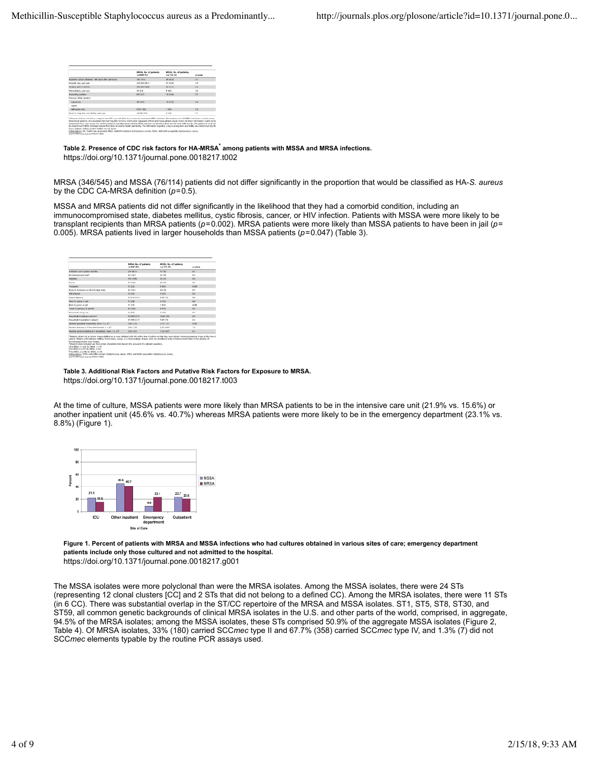|                                                      | MRSA, No. of patients.<br>A. 645 761 | MSSA, No. of astlents.<br>mm 114 (%) | maker |
|------------------------------------------------------|--------------------------------------|--------------------------------------|-------|
| trautiers culture obtained >46 hours after admission | 106 (79.16)                          | 即日5点                                 | 0.7   |
| Hespital stay, part year.                            | JUN YEK HRUD                         | <b>N7 IBOJE</b>                      | O.B   |
| Sumpary, stard & restrictive                         | 309, VAN 165, 21                     | 41,007.75                            | O.B   |
| Hermoliabols, paul sear                              | 35 (5.4)                             | $9 - 21.42$                          | O.B   |
| Indivelling certains                                 | 49 (13.7)                            | 16.116.00                            | 0.7   |
| Previous MRSA belation                               |                                      |                                      |       |
| Laboratory                                           | 58 (18.6)                            | <b>18 (15.2)</b>                     | 0.4   |
| necent                                               |                                      |                                      |       |
| Self-report only                                     | 4/301 (9.2)                          | 1, 66, 61                            | 0.3   |
| Lived in long-term care facility, cast year          | 16/290 15:51                         | 2.15.65                              | O.H   |

Table 2. Presence of CDC risk factors for HA-MRSA<sup>\*</sup> among patients with MSSA and MRSA infections.

https://doi.org/10.1371/journal.pone.0018217.t002

MRSA (346/545) and MSSA (76/114) patients did not differ significantly in the proportion that would be classified as HA-*S. aureus* by the CDC CA-MRSA definition (*p*=0.5).

MSSA and MRSA patients did not differ significantly in the likelihood that they had a comorbid condition, including an immunocompromised state, diabetes mellitus, cystic fibrosis, cancer, or HIV infection. Patients with MSSA were more likely to be transplant recipients than MRSA patients (*p*=0.002). MRSA patients were more likely than MSSA patients to have been in jail (*p*= 0.005). MRSA patients lived in larger households than MSSA patients (*p*=0.047) (Table 3).

|                                                    | MRSA, No. of parliants.<br>70.545(96) | NISSA, No. of parlents.<br>n = 115 (%) | availant      |
|----------------------------------------------------|---------------------------------------|----------------------------------------|---------------|
| Autiliarie use in past 6 months                    | 329 542.11                            | ST (SE)                                | <b>D.T.</b>   |
| <b>Manufacturer and T</b>                          | 80.04.73                              | 22 (18)                                | D.Z           |
| <b>Distantas</b>                                   | <b>THEFT</b>                          | 34 (2%)                                | <b>DA</b>     |
| Camier                                             | <b>87 (16.0)</b>                      | 22 (14)                                | <b>D.A.</b>   |
| <b>Traminiums</b>                                  | 12(2.3)                               | $9 - 18 - 04$                          | 0.002         |
| Implant, hardware or other fontige body.           | 85 (14.1)                             | 20:38                                  | 67            |
| <b>EDUATOR</b>                                     | 11.046                                | 4.13.52                                | e.c.          |
| Attend daycare                                     | 31/215 (14.4)                         | 3/29 (13)                              | 6à            |
| Work in orison or jail.                            | 15 (2.8)                              | 211.81                                 | td:           |
| Been in prison or juli                             | 41.05%                                | 1.80.96                                | <b>d</b> oors |
| Travel in previous 6 months                        | 56 (18.8)                             | 9 (7.9)                                | <b>BA</b>     |
| <b>Interpretators</b> drive one                    | 2015.35                               | 211.88                                 | 61            |
| Hausdeld beddivine annually                        | <b>AUSSI (31.5)</b>                   | 10681-201                              | <b>DS</b>     |
| Financial bargingliant context:                    | (CCD 2007/15)                         | 2MT (1%)                               | 62            |
| Norther percent in homogeneid, mass = x c(R)       | $1/60 = 2.16$                         | $3.15 - 1.51$                          | 0.047         |
| Number betrooms in household mean = x d.j.         | $3.68 - 1.35$                         | $2.07 - 0.09$                          | 10            |
| Number persons/sedecers in household, mean ± s. 65 | 009-985                               | $102 - 0.07$                           | e.            |

**Table 3. Additional Risk Factors and Putative Risk Factors for Exposure to MRSA.** https://doi.org/10.1371/journal.pone.0018217.t003

At the time of culture, MSSA patients were more likely than MRSA patients to be in the intensive care unit (21.9% vs. 15.6%) or another inpatient unit (45.6% vs. 40.7%) whereas MRSA patients were more likely to be in the emergency department (23.1% vs. 8.8%) (Figure 1).



**Figure 1. Percent of patients with MRSA and MSSA infections who had cultures obtained in various sites of care; emergency department patients include only those cultured and not admitted to the hospital.** https://doi.org/10.1371/journal.pone.0018217.g001

The MSSA isolates were more polyclonal than were the MRSA isolates. Among the MSSA isolates, there were 24 STs (representing 12 clonal clusters [CC] and 2 STs that did not belong to a defined CC). Among the MRSA isolates, there were 11 STs (in 6 CC). There was substantial overlap in the ST/CC repertoire of the MRSA and MSSA isolates. ST1, ST5, ST8, ST30, and ST59, all common genetic backgrounds of clinical MRSA isolates in the U.S. and other parts of the world, comprised, in aggregate, 94.5% of the MRSA isolates; among the MSSA isolates, these STs comprised 50.9% of the aggregate MSSA isolates (Figure 2, Table 4). Of MRSA isolates, 33% (180) carried SCC*mec* type II and 67.7% (358) carried SCC*mec* type IV, and 1.3% (7) did not SCC*mec* elements typable by the routine PCR assays used.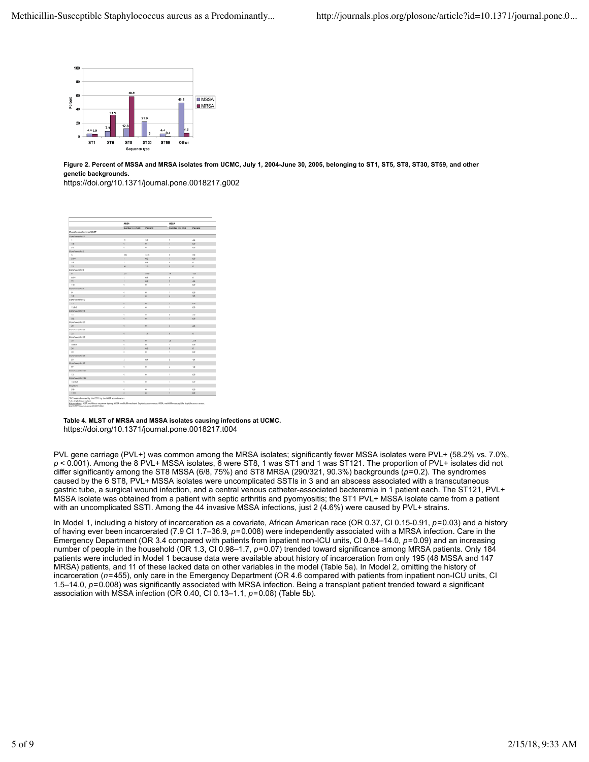

**Figure 2. Percent of MSSA and MRSA isolates from UCMC, July 1, 2004-June 30, 2005, belonging to ST1, ST5, ST8, ST30, ST59, and other genetic backgrounds.**

https://doi.org/10.1371/journal.pone.0018217.g002

|                           | MRSA                     |                | <b>MSSA</b>                                                     |                |
|---------------------------|--------------------------|----------------|-----------------------------------------------------------------|----------------|
|                           | Number (no 545)          | Percent        | Number (no 114)                                                 | <b>Percent</b> |
| Cloral complex type/ML5T  |                          |                |                                                                 |                |
| Climal complex 7*         |                          |                |                                                                 |                |
| <b>B</b>                  | $\mathbb{R}^n$           | 18             | y,                                                              | 44             |
| 188                       | $\delta$                 | o.             | ٠                                                               | c»             |
| 173                       | $\ddot{\phantom{a}}$     | $\alpha$       | ï                                                               | co             |
| Clonel complex 5          |                          |                |                                                                 |                |
| 5                         | 170                      | 31.3           | ý.                                                              | 7.9            |
| $504+$                    | ×                        | 62             | ٠                                                               | ts.            |
| 195                       | ×                        | 0.6            | b.                                                              | v.             |
| 231                       | 14                       | 25             | ø.                                                              | ¢.             |
| Conal complex 8           |                          |                |                                                                 |                |
| $\pm$                     | 331                      | 38.3           | 14                                                              | 12.3           |
| <b>Billy</b> <sup>4</sup> | ż                        | 0.8            | ö                                                               | e.             |
| T2                        | $\overline{1}$           | 0.2            | n.                                                              | 44             |
| 1181                      | $\circ$                  | $\circ$        | $\mathbf{I}$                                                    | <b>CP</b>      |
| Clonal camplex 9          |                          |                |                                                                 |                |
| $\sim$                    | $\ddot{\phantom{a}}$     | $\alpha$       | ×                                                               | c+             |
| 199                       | a                        | $\ddot{\rm o}$ | $\ddot{\phantom{a}}$                                            | 3.5            |
| Clonel complex 12         |                          |                |                                                                 |                |
| 12                        | a.                       | $\rm _0$       | ۱                                                               | $^{16}$        |
| 12stef                    | $\Phi$                   | ó              | ×                                                               | C+             |
| Clonal camplex 15         |                          |                |                                                                 |                |
| 15                        | $\theta$                 | $\theta$       | ×                                                               | 3.0            |
| 583                       | ò                        | $\circ$        | ¥                                                               | t/k            |
| Clonal complex 20         |                          |                |                                                                 |                |
| 28                        | $\circ$                  | $\circ$        | ×                                                               | 26             |
| Clonal complex 32         |                          |                |                                                                 |                |
| 22                        | 4                        | 1.1            | ø                                                               | o              |
| Clonal carryler 30        |                          |                |                                                                 |                |
| 32 <sup>o</sup>           | $\circ$                  | $\circ$        | $\overline{15}$                                                 | 218            |
| 30sh/1                    | a                        | $\alpha$       | ×,                                                              | co             |
| 36                        | $\overline{\phantom{a}}$ | 0.5            | ø.                                                              | $\circ$        |
| 39                        | o                        | $\circ$        | ï                                                               | $^{0}$         |
| Clonel cemplex 39         |                          |                |                                                                 |                |
| 59                        | ż                        | 0.6            | 5                                                               | $\overline{a}$ |
| Clonal camplex 57         |                          |                |                                                                 |                |
| 40                        | $\theta$                 | $\theta$       | z                                                               | 1.8            |
| Clonal complex 121        |                          |                |                                                                 |                |
| 121                       | $\theta$                 | $\theta$       | $\overline{\phantom{a}}$                                        | ta             |
| Clonal complex 182        |                          |                |                                                                 |                |
| 183449                    | $\sigma$                 | $\theta$       | $\mathbf{r}$                                                    | C/P            |
| <b>Singlesons</b>         |                          |                |                                                                 |                |
| tap                       | $\ddot{\phantom{a}}$     | $\circ$        | $\mathbf{I}$                                                    | co             |
| 1199                      | $\alpha$                 |                | $\mathbf{a}$ and $\mathbf{a}$ and $\mathbf{a}$ and $\mathbf{a}$ | <b>CO</b>      |

**Table 4. MLST of MRSA and MSSA isolates causing infections at UCMC.** https://doi.org/10.1371/journal.pone.0018217.t004

PVL gene carriage (PVL+) was common among the MRSA isolates; significantly fewer MSSA isolates were PVL+ (58.2% vs. 7.0%, *p* < 0.001). Among the 8 PVL+ MSSA isolates, 6 were ST8, 1 was ST1 and 1 was ST121. The proportion of PVL+ isolates did not differ significantly among the ST8 MSSA (6/8, 75%) and ST8 MRSA (290/321, 90.3%) backgrounds (*p*=0.2). The syndromes caused by the 6 ST8, PVL+ MSSA isolates were uncomplicated SSTIs in 3 and an abscess associated with a transcutaneous gastric tube, a surgical wound infection, and a central venous catheter-associated bacteremia in 1 patient each. The ST121, PVL+ MSSA isolate was obtained from a patient with septic arthritis and pyomyositis; the ST1 PVL+ MSSA isolate came from a patient with an uncomplicated SSTI. Among the 44 invasive MSSA infections, just 2 (4.6%) were caused by PVL+ strains.

In Model 1, including a history of incarceration as a covariate, African American race (OR 0.37, CI 0.15-0.91, *p*=0.03) and a history of having ever been incarcerated (7.9 CI 1.7–36.9, *p*=0.008) were independently associated with a MRSA infection. Care in the Emergency Department (OR 3.4 compared with patients from inpatient non-ICU units, CI 0.84–14.0, p=0.09) and an increasing number of people in the household (OR 1.3, CI 0.98–1.7,  $p=0.07$ ) trended toward significance among MRSA patients. Only 184 patients were included in Model 1 because data were available about history of incarceration from only 195 (48 MSSA and 147 MRSA) patients, and 11 of these lacked data on other variables in the model (Table 5a). In Model 2, omitting the history of incarceration (*n*=455), only care in the Emergency Department (OR 4.6 compared with patients from inpatient non-ICU units, CI 1.5–14.0, *p*=0.008) was significantly associated with MRSA infection. Being a transplant patient trended toward a significant association with MSSA infection (OR 0.40, CI 0.13–1.1, *p*=0.08) (Table 5b).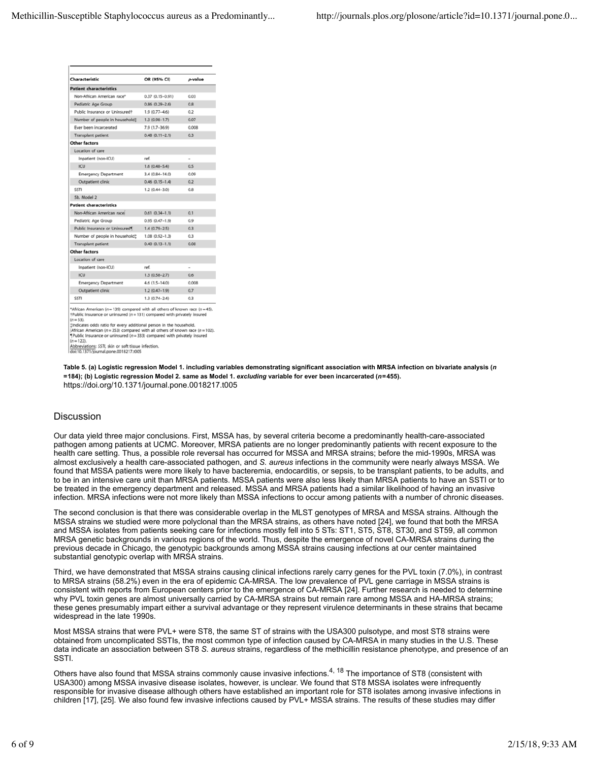|                                            | OR (95% CI)         | p-value |
|--------------------------------------------|---------------------|---------|
| <b>Patient characteristics</b>             |                     |         |
| Non-African American race*                 | $0.37(0.15 - 0.91)$ | 0.03    |
| Pediatric Age Group                        | $0.86(0.29 - 2.6)$  | 0.8     |
| Public Insurance or Uninsured <sup>+</sup> | $1.9(0.77 - 4.6)$   | 0.2     |
| Number of people in household!             | $1.3(0.98 - 1.7)$   | 0.07    |
| Ever been incarcerated                     | $7.9(1.7-36.9)$     | 0.008   |
| Transplant patient                         | $0.48(0.11 - 2.1)$  | 0.3     |
| Other factors                              |                     |         |
| Location of care                           |                     |         |
| Inpatient (non-ICU)                        | ref.                |         |
| <b>ICU</b>                                 | $1.6(0.48 - 5.4)$   | 0.5     |
| <b>Emergency Department</b>                | $3.4(0.84 - 14.0)$  | 0.09    |
| Outpatient clinic                          | $0.46(0.15 - 1.4)$  | 0.2     |
| <b>SSTI</b>                                | $1.2(0.44 - 3.0)$   | 0.8     |
| 5b. Model 2                                |                     |         |
| <b>Patient characteristics</b>             |                     |         |
| Non-African American race                  | $0.61(0.34 - 1.1)$  | 0.1     |
| Pediatric Age Group                        | $0.95(0.47 - 1.9)$  | 0.9     |
| Public Insurance or Uninsured              | $1.4(0.79 - 2.5)$   | 0.3     |
| Number of people in household:             | $1.08(0.92 - 1.3)$  | 0.3     |
| <b>Transplant patient</b>                  | $0.40(0.13 - 1.1)$  | 0.08    |
| Other factors                              |                     |         |
| Location of care                           |                     |         |
| Inpatient (non-ICU)                        | ref.                |         |
| <b>ICU</b>                                 | $1.3(0.58 - 2.7)$   | 0.6     |
| <b>Emergency Department</b>                | $4.6(1.5-14.0)$     | 0.008   |
| Outpatient clinic                          | $1.2(0.47-1.9)$     | 0.7     |
|                                            | $1.3(0.74 - 2.4)$   | 0.3     |

**Table 5. (a) Logistic regression Model 1. including variables demonstrating significant association with MRSA infection on bivariate analysis (***n* **=184); (b) Logistic regression Model 2. same as Model 1.** *excluding* **variable for ever been incarcerated (***n***=455).** https://doi.org/10.1371/journal.pone.0018217.t005

# **Discussion**

Our data yield three major conclusions. First, MSSA has, by several criteria become a predominantly health-care-associated pathogen among patients at UCMC. Moreover, MRSA patients are no longer predominantly patients with recent exposure to the health care setting. Thus, a possible role reversal has occurred for MSSA and MRSA strains; before the mid-1990s, MRSA was almost exclusively a health care-associated pathogen, and *S. aureus* infections in the community were nearly always MSSA. We found that MSSA patients were more likely to have bacteremia, endocarditis, or sepsis, to be transplant patients, to be adults, and to be in an intensive care unit than MRSA patients. MSSA patients were also less likely than MRSA patients to have an SSTI or to be treated in the emergency department and released. MSSA and MRSA patients had a similar likelihood of having an invasive infection. MRSA infections were not more likely than MSSA infections to occur among patients with a number of chronic diseases.

The second conclusion is that there was considerable overlap in the MLST genotypes of MRSA and MSSA strains. Although the MSSA strains we studied were more polyclonal than the MRSA strains, as others have noted [24], we found that both the MRSA and MSSA isolates from patients seeking care for infections mostly fell into 5 STs: ST1, ST5, ST8, ST30, and ST59, all common MRSA genetic backgrounds in various regions of the world. Thus, despite the emergence of novel CA-MRSA strains during the previous decade in Chicago, the genotypic backgrounds among MSSA strains causing infections at our center maintained substantial genotypic overlap with MRSA strains.

Third, we have demonstrated that MSSA strains causing clinical infections rarely carry genes for the PVL toxin (7.0%), in contrast to MRSA strains (58.2%) even in the era of epidemic CA-MRSA. The low prevalence of PVL gene carriage in MSSA strains is consistent with reports from European centers prior to the emergence of CA-MRSA [24]. Further research is needed to determine why PVL toxin genes are almost universally carried by CA-MRSA strains but remain rare among MSSA and HA-MRSA strains; these genes presumably impart either a survival advantage or they represent virulence determinants in these strains that became widespread in the late 1990s.

Most MSSA strains that were PVL+ were ST8, the same ST of strains with the USA300 pulsotype, and most ST8 strains were obtained from uncomplicated SSTIs, the most common type of infection caused by CA-MRSA in many studies in the U.S. These data indicate an association between ST8 *S. aureus* strains, regardless of the methicillin resistance phenotype, and presence of an SSTI.

Others have also found that MSSA strains commonly cause invasive infections.<sup>4, 18</sup> The importance of ST8 (consistent with USA300) among MSSA invasive disease isolates, however, is unclear. We found that ST8 MSSA isolates were infrequently responsible for invasive disease although others have established an important role for ST8 isolates among invasive infections in children [17], [25]. We also found few invasive infections caused by PVL+ MSSA strains. The results of these studies may differ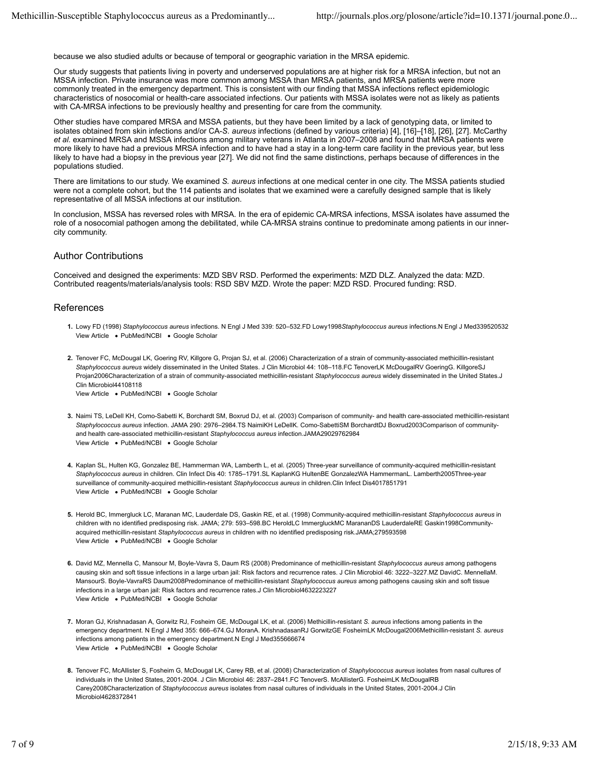because we also studied adults or because of temporal or geographic variation in the MRSA epidemic.

Our study suggests that patients living in poverty and underserved populations are at higher risk for a MRSA infection, but not an MSSA infection. Private insurance was more common among MSSA than MRSA patients, and MRSA patients were more commonly treated in the emergency department. This is consistent with our finding that MSSA infections reflect epidemiologic characteristics of nosocomial or health-care associated infections. Our patients with MSSA isolates were not as likely as patients with CA-MRSA infections to be previously healthy and presenting for care from the community.

Other studies have compared MRSA and MSSA patients, but they have been limited by a lack of genotyping data, or limited to isolates obtained from skin infections and/or CA-*S. aureus* infections (defined by various criteria) [4], [16]–[18], [26], [27]. McCarthy *et al.* examined MRSA and MSSA infections among military veterans in Atlanta in 2007–2008 and found that MRSA patients were more likely to have had a previous MRSA infection and to have had a stay in a long-term care facility in the previous year, but less likely to have had a biopsy in the previous year [27]. We did not find the same distinctions, perhaps because of differences in the populations studied.

There are limitations to our study. We examined *S. aureus* infections at one medical center in one city. The MSSA patients studied were not a complete cohort, but the 114 patients and isolates that we examined were a carefully designed sample that is likely representative of all MSSA infections at our institution.

In conclusion, MSSA has reversed roles with MRSA. In the era of epidemic CA-MRSA infections, MSSA isolates have assumed the role of a nosocomial pathogen among the debilitated, while CA-MRSA strains continue to predominate among patients in our innercity community.

## Author Contributions

Conceived and designed the experiments: MZD SBV RSD. Performed the experiments: MZD DLZ. Analyzed the data: MZD. Contributed reagents/materials/analysis tools: RSD SBV MZD. Wrote the paper: MZD RSD. Procured funding: RSD.

## References

- **1.** Lowy FD (1998) *Staphylococcus aureus* infections. N Engl J Med 339: 520–532.FD Lowy1998*Staphylococcus aureus* infections.N Engl J Med339520532 View Article . PubMed/NCBI . Google Scholar
- **2.** Tenover FC, McDougal LK, Goering RV, Killgore G, Projan SJ, et al. (2006) Characterization of a strain of community-associated methicillin-resistant View Article . PubMed/NCBI . Google Scholar *Staphylococcus aureus* widely disseminated in the United States. J Clin Microbiol 44: 108–118.FC TenoverLK McDougalRV GoeringG. KillgoreSJ Projan2006Characterization of a strain of community-associated methicillin-resistant *Staphylococcus aureus* widely disseminated in the United States.J Clin Microbiol44108118
- **3.** Naimi TS, LeDell KH, Como-Sabetti K, Borchardt SM, Boxrud DJ, et al. (2003) Comparison of community- and health care-associated methicillin-resistant View Article . PubMed/NCBI . Google Scholar *Staphylococcus aureus* infection. JAMA 290: 2976–2984.TS NaimiKH LeDellK. Como-SabettiSM BorchardtDJ Boxrud2003Comparison of communityand health care-associated methicillin-resistant *Staphylococcus aureus* infection.JAMA29029762984
- **4.** Kaplan SL, Hulten KG, Gonzalez BE, Hammerman WA, Lamberth L, et al. (2005) Three-year surveillance of community-acquired methicillin-resistant View Article . PubMed/NCBI . Google Scholar *Staphylococcus aureus* in children. Clin Infect Dis 40: 1785–1791.SL KaplanKG HultenBE GonzalezWA HammermanL. Lamberth2005Three-year surveillance of community-acquired methicillin-resistant *Staphylococcus aureus* in children.Clin Infect Dis4017851791
- **5.** Herold BC, Immergluck LC, Maranan MC, Lauderdale DS, Gaskin RE, et al. (1998) Community-acquired methicillin-resistant *Staphylococcus aureus* in View Article . PubMed/NCBI . Google Scholar children with no identified predisposing risk. JAMA; 279: 593–598.BC HeroldLC ImmergluckMC MarananDS LauderdaleRE Gaskin1998Communityacquired methicillin-resistant *Staphylococcus aureus* in children with no identified predisposing risk.JAMA;279593598
- **6.** David MZ, Mennella C, Mansour M, Boyle-Vavra S, Daum RS (2008) Predominance of methicillin-resistant *Staphylococcus aureus* among pathogens View Article . PubMed/NCBI . Google Scholar causing skin and soft tissue infections in a large urban jail: Risk factors and recurrence rates. J Clin Microbiol 46: 3222–3227.MZ DavidC. MennellaM. MansourS. Boyle-VavraRS Daum2008Predominance of methicillin-resistant *Staphylococcus aureus* among pathogens causing skin and soft tissue infections in a large urban jail: Risk factors and recurrence rates.J Clin Microbiol4632223227
- **7.** Moran GJ, Krishnadasan A, Gorwitz RJ, Fosheim GE, McDougal LK, et al. (2006) Methicillin-resistant *S. aureus* infections among patients in the View Article . PubMed/NCBI . Google Scholar emergency department. N Engl J Med 355: 666–674.GJ MoranA. KrishnadasanRJ GorwitzGE FosheimLK McDougal2006Methicillin-resistant *S. aureus* infections among patients in the emergency department.N Engl J Med355666674
- **8.** Tenover FC, McAllister S, Fosheim G, McDougal LK, Carey RB, et al. (2008) Characterization of *Staphylococcus aureus* isolates from nasal cultures of individuals in the United States, 2001-2004. J Clin Microbiol 46: 2837–2841.FC TenoverS. McAllisterG. FosheimLK McDougalRB Carey2008Characterization of *Staphylococcus aureus* isolates from nasal cultures of individuals in the United States, 2001-2004.J Clin Microbiol4628372841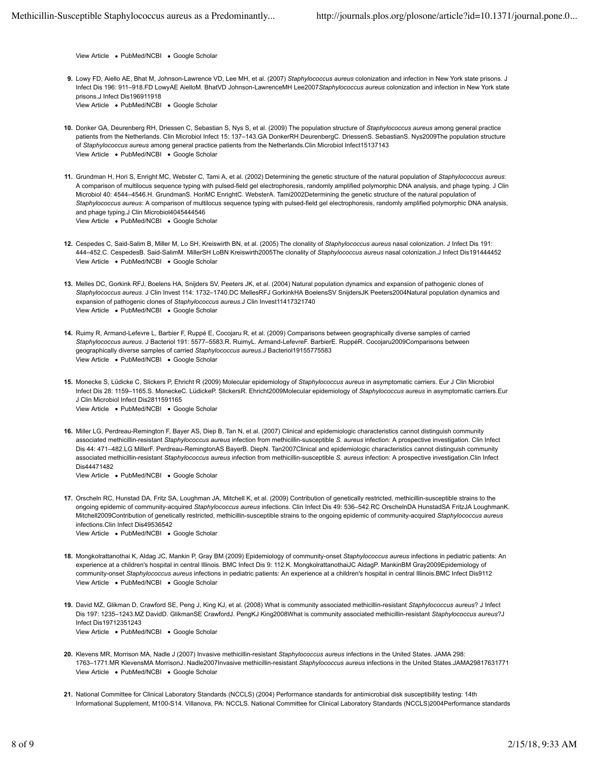View Article . PubMed/NCBI . Google Scholar

- **9.** Lowy FD, Aiello AE, Bhat M, Johnson-Lawrence VD, Lee MH, et al. (2007) *Staphylococcus aureus* colonization and infection in New York state prisons. J View Article . PubMed/NCBI . Google Scholar Infect Dis 196: 911–918.FD LowyAE AielloM. BhatVD Johnson-LawrenceMH Lee2007*Staphylococcus aureus* colonization and infection in New York state prisons.J Infect Dis196911918
- **10.** Donker GA, Deurenberg RH, Driessen C, Sebastian S, Nys S, et al. (2009) The population structure of *Staphylococcus aureus* among general practice View Article . PubMed/NCBI . Google Scholar patients from the Netherlands. Clin Microbiol Infect 15: 137–143.GA DonkerRH DeurenbergC. DriessenS. SebastianS. Nys2009The population structure of *Staphylococcus aureus* among general practice patients from the Netherlands.Clin Microbiol Infect15137143
- **11.** Grundman H, Hori S, Enright MC, Webster C, Tami A, et al. (2002) Determining the genetic structure of the natural population of *Staphylococcus aureus*: View Article . PubMed/NCBI . Google Scholar A comparison of multilocus sequence typing with pulsed-field gel electrophoresis, randomly amplified polymorphic DNA analysis, and phage typing. J Clin Microbiol 40: 4544–4546.H. GrundmanS. HoriMC EnrightC. WebsterA. Tami2002Determining the genetic structure of the natural population of *Staphylococcus aureus*: A comparison of multilocus sequence typing with pulsed-field gel electrophoresis, randomly amplified polymorphic DNA analysis, and phage typing.J Clin Microbiol4045444546
- **12.** Cespedes C, Said-Salim B, Miller M, Lo SH, Kreiswirth BN, et al. (2005) The clonality of *Staphylococcus aureus* nasal colonization. J Infect Dis 191: View Article . PubMed/NCBI . Google Scholar 444–452.C. CespedesB. Said-SalimM. MillerSH LoBN Kreiswirth2005The clonality of *Staphylococcus aureus* nasal colonization.J Infect Dis191444452
- **13.** Melles DC, Gorkink RFJ, Boelens HA, Snijders SV, Peeters JK, et al. (2004) Natural population dynamics and expansion of pathogenic clones of View Article . PubMed/NCBI . Google Scholar *Staphylococcus aureus*. J Clin Invest 114: 1732–1740.DC MellesRFJ GorkinkHA BoelensSV SnijdersJK Peeters2004Natural population dynamics and expansion of pathogenic clones of *Staphylococcus aureus*.J Clin Invest11417321740
- **14.** Ruimy R, Armand-Lefevre L, Barbier F, Ruppé E, Cocojaru R, et al. (2009) Comparisons between geographically diverse samples of carried View Article . PubMed/NCBI . Google Scholar *Staphylococcus aureus*. J Bacteriol 191: 5577–5583.R. RuimyL. Armand-LefevreF. BarbierE. RuppéR. Cocojaru2009Comparisons between geographically diverse samples of carried *Staphylococcus aureus*.J Bacteriol19155775583
- **15.** Monecke S, Lüdicke C, Slickers P, Ehricht R (2009) Molecular epidemiology of *Staphylococcus aureus* in asymptomatic carriers. Eur J Clin Microbiol View Article . PubMed/NCBI . Google Scholar Infect Dis 28: 1159–1165.S. MoneckeC. LüdickeP. SlickersR. Ehricht2009Molecular epidemiology of *Staphylococcus aureus* in asymptomatic carriers.Eur J Clin Microbiol Infect Dis2811591165
- **16.** Miller LG, Perdreau-Remington F, Bayer AS, Diep B, Tan N, et al. (2007) Clinical and epidemiologic characteristics cannot distinguish community View Article . PubMed/NCBI . Google Scholar associated methicillin-resistant *Staphylococcus aureus* infection from methicillin-susceptible *S. aureus* infection: A prospective investigation. Clin Infect Dis 44: 471–482.LG MillerF. Perdreau-RemingtonAS BayerB. DiepN. Tan2007Clinical and epidemiologic characteristics cannot distinguish community associated methicillin-resistant *Staphylococcus aureus* infection from methicillin-susceptible *S. aureus* infection: A prospective investigation.Clin Infect Dis44471482

- **17.** Orscheln RC, Hunstad DA, Fritz SA, Loughman JA, Mitchell K, et al. (2009) Contribution of genetically restricted, methicillin-susceptible strains to the View Article . PubMed/NCBI . Google Scholar ongoing epidemic of community-acquired *Staphylococcus aureus* infections. Clin Infect Dis 49: 536–542.RC OrschelnDA HunstadSA FritzJA LoughmanK. Mitchell2009Contribution of genetically restricted, methicillin-susceptible strains to the ongoing epidemic of community-acquired *Staphylococcus aureus* infections.Clin Infect Dis49536542
- **18.** Mongkolrattanothai K, Aldag JC, Mankin P, Gray BM (2009) Epidemiology of community-onset *Staphylococcus aureus* infections in pediatric patients: An View Article . PubMed/NCBI . Google Scholar experience at a children's hospital in central Illinois. BMC Infect Dis 9: 112.K. MongkolrattanothaiJC AldagP. MankinBM Gray2009Epidemiology of community-onset *Staphylococcus aureus* infections in pediatric patients: An experience at a children's hospital in central Illinois.BMC Infect Dis9112
- **19.** David MZ, Glikman D, Crawford SE, Peng J, King KJ, et al. (2008) What is community associated methicillin-resistant *Staphylococcus aureus*? J Infect View Article . PubMed/NCBI . Google Scholar Dis 197: 1235–1243.MZ DavidD. GlikmanSE CrawfordJ. PengKJ King2008What is community associated methicillin-resistant *Staphylococcus aureus*?J Infect Dis19712351243
- **20.** Klevens MR, Morrison MA, Nadle J (2007) Invasive methicillin-resistant *Staphylococcus aureus* infections in the United States. JAMA 298: View Article . PubMed/NCBI . Google Scholar 1763–1771.MR KlevensMA MorrisonJ. Nadle2007Invasive methicillin-resistant *Staphylococcus aureus* infections in the United States.JAMA29817631771
- **21.** National Committee for Clinical Laboratory Standards (NCCLS) (2004) Performance standards for antimicrobial disk susceptibility testing: 14th Informational Supplement, M100-S14. Villanova, PA: NCCLS. National Committee for Clinical Laboratory Standards (NCCLS)2004Performance standards